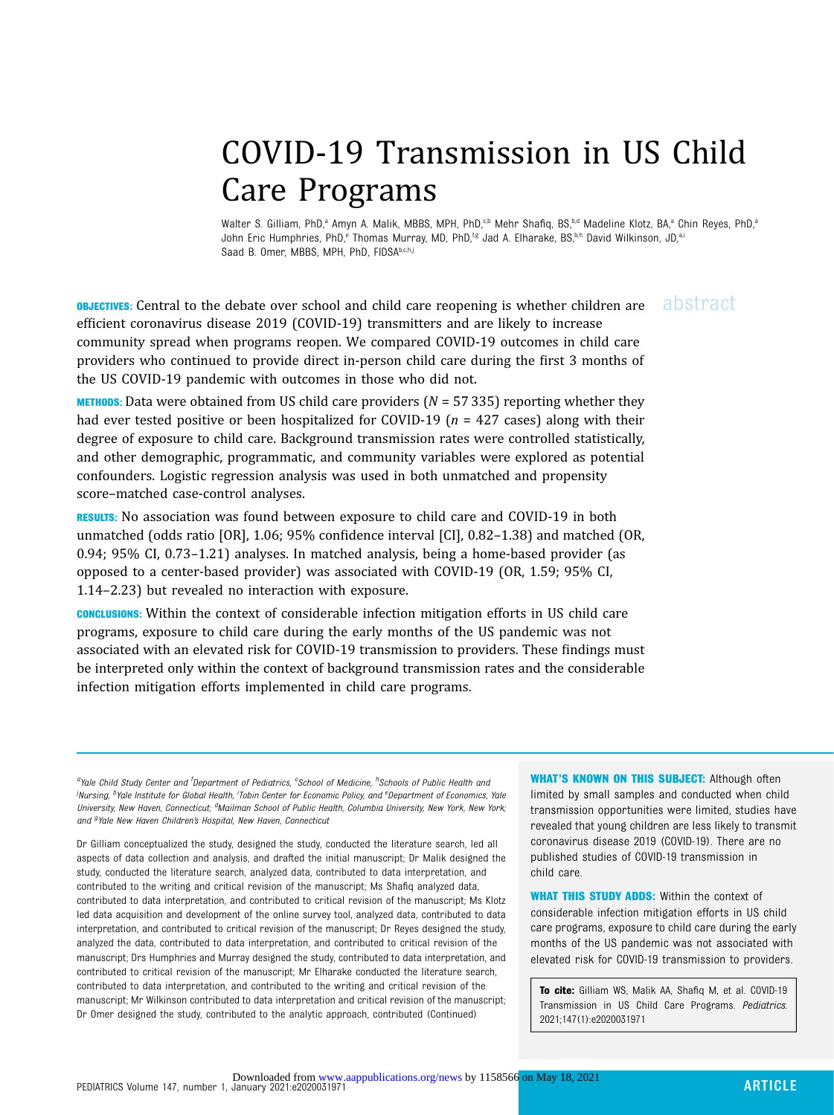# COVID-19 Transmission in US Child Care Programs

Walter S. Gilliam, PhD,<sup>a</sup> Amyn A. Malik, MBBS, MPH, PhD,<sup>c,b</sup> Mehr Shafiq, BS,<sup>b,d</sup> Madeline Klotz, BA,<sup>a</sup> Chin Reyes, PhD,<sup>a</sup> John Eric Humphries, PhD,<sup>e</sup> Thomas Murray, MD, PhD,<sup>f,g</sup> Jad A. Elharake, BS,<sup>b,h</sup> David Wilkinson, JD,<sup>a,i</sup> Saad B. Omer, MBBS, MPH, PhD, FIDSAb,c,h,j

**OBJECTIVES:** Central to the debate over school and child care reopening is whether children are abstract efficient coronavirus disease 2019 (COVID-19) transmitters and are likely to increase community spread when programs reopen. We compared COVID-19 outcomes in child care providers who continued to provide direct in-person child care during the first 3 months of the US COVID-19 pandemic with outcomes in those who did not.

**METHODS:** Data were obtained from US child care providers ( $N = 57335$ ) reporting whether they had ever tested positive or been hospitalized for COVID-19 ( $n = 427$  cases) along with their degree of exposure to child care. Background transmission rates were controlled statistically, and other demographic, programmatic, and community variables were explored as potential confounders. Logistic regression analysis was used in both unmatched and propensity score–matched case-control analyses.

RESULTS: No association was found between exposure to child care and COVID-19 in both unmatched (odds ratio [OR], 1.06; 95% confidence interval [CI], 0.82–1.38) and matched (OR, 0.94; 95% CI, 0.73–1.21) analyses. In matched analysis, being a home-based provider (as opposed to a center-based provider) was associated with COVID-19 (OR, 1.59; 95% CI, 1.14–2.23) but revealed no interaction with exposure.

CONCLUSIONS: Within the context of considerable infection mitigation efforts in US child care programs, exposure to child care during the early months of the US pandemic was not associated with an elevated risk for COVID-19 transmission to providers. These findings must be interpreted only within the context of background transmission rates and the considerable infection mitigation efforts implemented in child care programs.

<sup>a</sup>Yale Child Study Center and <sup>f</sup>Department of Pediatrics, <sup>c</sup>School of Medicine, <sup>h</sup>Schools of Public Health ana .<br>Nursing, <sup>b</sup>Yale Institute for Global Health, <sup>i</sup>Tobin Center for Economic Policy, and <sup>e</sup>Department of Economics, Yale University, New Haven, Connecticut; <sup>d</sup>Mailman School of Public Health, Columbia University, New York, New York; and <sup>g</sup>Yale New Haven Children's Hospital, New Haven, Connecticut

Dr Gilliam conceptualized the study, designed the study, conducted the literature search, led all aspects of data collection and analysis, and drafted the initial manuscript; Dr Malik designed the study, conducted the literature search, analyzed data, contributed to data interpretation, and contributed to the writing and critical revision of the manuscript; Ms Shafiq analyzed data, contributed to data interpretation, and contributed to critical revision of the manuscript; Ms Klotz led data acquisition and development of the online survey tool, analyzed data, contributed to data interpretation, and contributed to critical revision of the manuscript; Dr Reyes designed the study, analyzed the data, contributed to data interpretation, and contributed to critical revision of the manuscript; Drs Humphries and Murray designed the study, contributed to data interpretation, and contributed to critical revision of the manuscript; Mr Elharake conducted the literature search, contributed to data interpretation, and contributed to the writing and critical revision of the manuscript; Mr Wilkinson contributed to data interpretation and critical revision of the manuscript; Dr Omer designed the study, contributed to the analytic approach, contributed (Continued)

WHAT'S KNOWN ON THIS SUBJECT: Although often limited by small samples and conducted when child transmission opportunities were limited, studies have revealed that young children are less likely to transmit coronavirus disease 2019 (COVID-19). There are no published studies of COVID-19 transmission in child care.

WHAT THIS STUDY ADDS: Within the context of considerable infection mitigation efforts in US child care programs, exposure to child care during the early months of the US pandemic was not associated with elevated risk for COVID-19 transmission to providers.

To cite: Gilliam WS, Malik AA, Shafiq M, et al. COVID-19 Transmission in US Child Care Programs. Pediatrics. 2021;147(1):e2020031971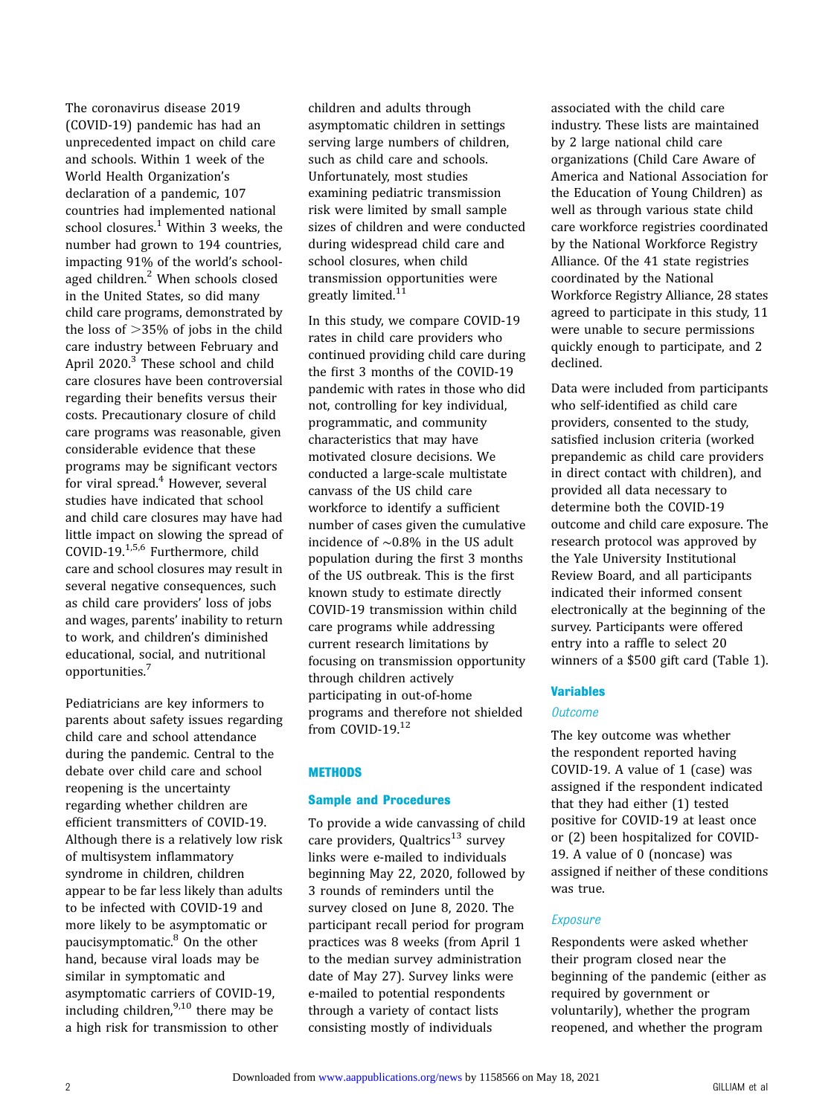The coronavirus disease 2019 (COVID-19) pandemic has had an unprecedented impact on child care and schools. Within 1 week of the World Health Organization's declaration of a pandemic, 107 countries had implemented national school closures. $1$  Within 3 weeks, the number had grown to 194 countries, impacting 91% of the world's school-aged children.<sup>[2](#page-8-0)</sup> When schools closed in the United States, so did many child care programs, demonstrated by the loss of  $>35%$  of jobs in the child care industry between February and April 2020.<sup>[3](#page-8-0)</sup> These school and child care closures have been controversial regarding their benefits versus their costs. Precautionary closure of child care programs was reasonable, given considerable evidence that these programs may be significant vectors for viral spread.<sup>[4](#page-8-0)</sup> However, several studies have indicated that school and child care closures may have had little impact on slowing the spread of COVID-19.[1,5,6](#page-8-0) Furthermore, child care and school closures may result in several negative consequences, such as child care providers' loss of jobs and wages, parents' inability to return to work, and children's diminished educational, social, and nutritional opportunities.[7](#page-8-0)

Pediatricians are key informers to parents about safety issues regarding child care and school attendance during the pandemic. Central to the debate over child care and school reopening is the uncertainty regarding whether children are efficient transmitters of COVID-19. Although there is a relatively low risk of multisystem inflammatory syndrome in children, children appear to be far less likely than adults to be infected with COVID-19 and more likely to be asymptomatic or paucisymptomatic.<sup>[8](#page-8-0)</sup> On the other hand, because viral loads may be similar in symptomatic and asymptomatic carriers of COVID-19, including children, $9,10$  $9,10$  $9,10$  there may be a high risk for transmission to other

children and adults through asymptomatic children in settings serving large numbers of children, such as child care and schools. Unfortunately, most studies examining pediatric transmission risk were limited by small sample sizes of children and were conducted during widespread child care and school closures, when child transmission opportunities were greatly limited. $11$ 

In this study, we compare COVID-19 rates in child care providers who continued providing child care during the first 3 months of the COVID-19 pandemic with rates in those who did not, controlling for key individual, programmatic, and community characteristics that may have motivated closure decisions. We conducted a large-scale multistate canvass of the US child care workforce to identify a sufficient number of cases given the cumulative incidence of ∼0.8% in the US adult population during the first 3 months of the US outbreak. This is the first known study to estimate directly COVID-19 transmission within child care programs while addressing current research limitations by focusing on transmission opportunity through children actively participating in out-of-home programs and therefore not shielded from COVID-19.<sup>[12](#page-8-0)</sup>

# **METHODS**

# Sample and Procedures

To provide a wide canvassing of child care providers, Qualtrics $^{13}$  $^{13}$  $^{13}$  survey links were e-mailed to individuals beginning May 22, 2020, followed by 3 rounds of reminders until the survey closed on June 8, 2020. The participant recall period for program practices was 8 weeks (from April 1 to the median survey administration date of May 27). Survey links were e-mailed to potential respondents through a variety of contact lists consisting mostly of individuals

associated with the child care industry. These lists are maintained by 2 large national child care organizations (Child Care Aware of America and National Association for the Education of Young Children) as well as through various state child care workforce registries coordinated by the National Workforce Registry Alliance. Of the 41 state registries coordinated by the National Workforce Registry Alliance, 28 states agreed to participate in this study, 11 were unable to secure permissions quickly enough to participate, and 2 declined.

Data were included from participants who self-identified as child care providers, consented to the study, satisfied inclusion criteria (worked prepandemic as child care providers in direct contact with children), and provided all data necessary to determine both the COVID-19 outcome and child care exposure. The research protocol was approved by the Yale University Institutional Review Board, and all participants indicated their informed consent electronically at the beginning of the survey. Participants were offered entry into a raffle to select 20 winners of a \$500 gift card (Table 1).

# Variables

#### **Outcome**

The key outcome was whether the respondent reported having COVID-19. A value of 1 (case) was assigned if the respondent indicated that they had either (1) tested positive for COVID-19 at least once or (2) been hospitalized for COVID-19. A value of 0 (noncase) was assigned if neither of these conditions was true.

# Exposure

Respondents were asked whether their program closed near the beginning of the pandemic (either as required by government or voluntarily), whether the program reopened, and whether the program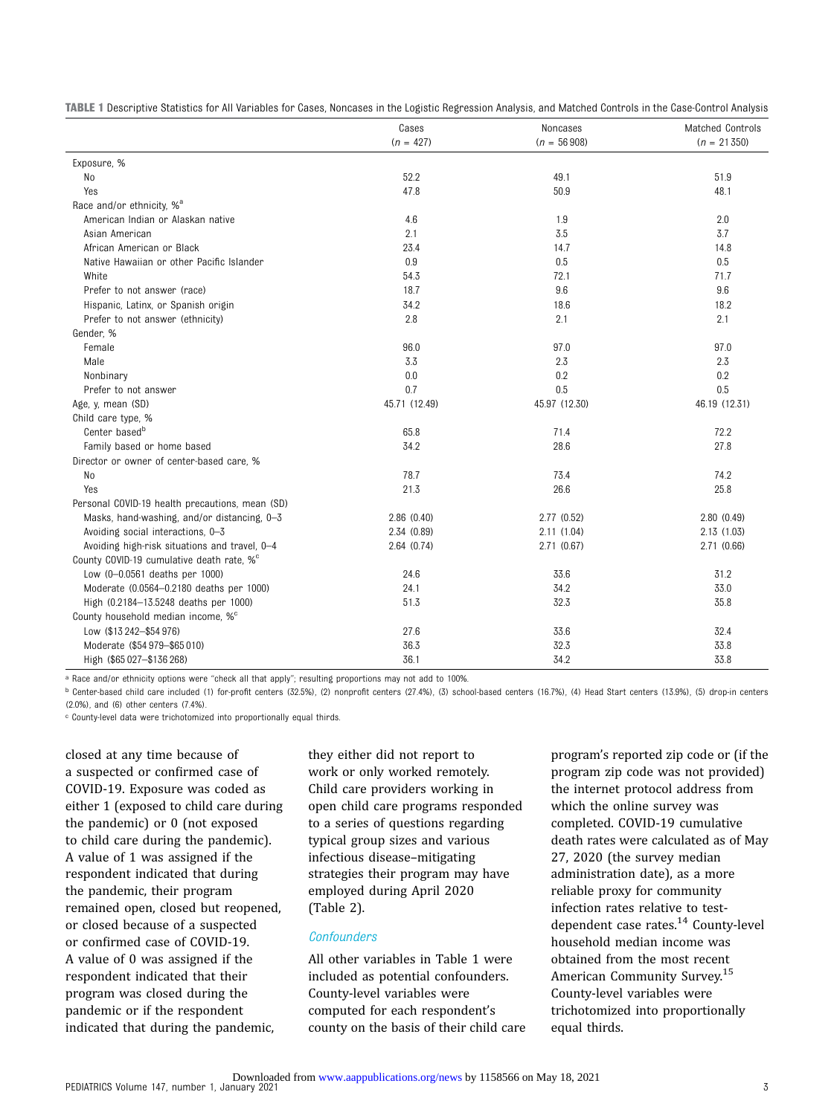|  |  |  | TABLE 1 Descriptive Statistics for All Variables for Cases, Noncases in the Logistic Regression Analysis, and Matched Controls in the Case-Control Analysis |
|--|--|--|-------------------------------------------------------------------------------------------------------------------------------------------------------------|
|--|--|--|-------------------------------------------------------------------------------------------------------------------------------------------------------------|

|                                                 | Cases         | Noncases      | Matched Controls |
|-------------------------------------------------|---------------|---------------|------------------|
|                                                 | $(n = 427)$   | $(n = 56908)$ | $(n = 21350)$    |
| Exposure, %                                     |               |               |                  |
| No                                              | 52.2          | 49.1          | 51.9             |
| Yes                                             | 47.8          | 50.9          | 48.1             |
| Race and/or ethnicity, % <sup>a</sup>           |               |               |                  |
| American Indian or Alaskan native               | 4.6           | 1.9           | 2.0              |
| Asian American                                  | 2.1           | 3.5           | 3.7              |
| African American or Black                       | 23.4          | 14.7          | 14.8             |
| Native Hawaiian or other Pacific Islander       | 0.9           | 0.5           | 0.5              |
| White                                           | 54.3          | 72.1          | 71.7             |
| Prefer to not answer (race)                     | 18.7          | 9.6           | 9.6              |
| Hispanic, Latinx, or Spanish origin             | 34.2          | 18.6          | 18.2             |
| Prefer to not answer (ethnicity)                | 2.8           | 2.1           | 2.1              |
| Gender, %                                       |               |               |                  |
| Female                                          | 96.0          | 97.0          | 97.0             |
| Male                                            | 3.3           | 2.3           | 2.3              |
| Nonbinary                                       | 0.0           | 0.2           | 0.2              |
| Prefer to not answer                            | 0.7           | 0.5           | 0.5              |
| Age, y, mean (SD)                               | 45.71 (12.49) | 45.97 (12.30) | 46.19 (12.31)    |
| Child care type, %                              |               |               |                  |
| Center based <sup>b</sup>                       | 65.8          | 71.4          | 72.2             |
| Family based or home based                      | 34.2          | 28.6          | 27.8             |
| Director or owner of center-based care, %       |               |               |                  |
| No                                              | 78.7          | 73.4          | 74.2             |
| Yes                                             | 21.3          | 26.6          | 25.8             |
| Personal COVID-19 health precautions, mean (SD) |               |               |                  |
| Masks, hand-washing, and/or distancing, 0-3     | 2.86(0.40)    | 2.77(0.52)    | 2.80(0.49)       |
| Avoiding social interactions, 0-3               | 2.34 (0.89)   | 2.11(1.04)    | 2.13(1.03)       |
| Avoiding high-risk situations and travel, 0-4   | 2.64(0.74)    | 2.71(0.67)    | 2.71(0.66)       |
| County COVID-19 cumulative death rate, %°       |               |               |                  |
| Low (0-0.0561 deaths per 1000)                  | 24.6          | 33.6          | 31.2             |
| Moderate (0.0564-0.2180 deaths per 1000)        | 24.1          | 34.2          | 33.0             |
| High (0.2184-13.5248 deaths per 1000)           | 51.3          | 32.3          | 35.8             |
| County household median income, %°              |               |               |                  |
| Low (\$13 242-\$54 976)                         | 27.6          | 33.6          | 32.4             |
| Moderate (\$54 979-\$65 010)                    | 36.3          | 32.3          | 33.8             |
| High (\$65 027-\$136 268)                       | 36.1          | 34.2          | 33.8             |

a Race and/or ethnicity options were "check all that apply"; resulting proportions may not add to 100%.

<sup>b</sup> Center-based child care included (1) for-profit centers (32.5%), (2) nonprofit centers (27.4%), (3) school-based centers (16.7%), (4) Head Start centers (13.9%), (5) drop-in centers (2.0%), and (6) other centers (7.4%).

c County-level data were trichotomized into proportionally equal thirds.

closed at any time because of a suspected or confirmed case of COVID-19. Exposure was coded as either 1 (exposed to child care during the pandemic) or 0 (not exposed to child care during the pandemic). A value of 1 was assigned if the respondent indicated that during the pandemic, their program remained open, closed but reopened, or closed because of a suspected or confirmed case of COVID-19. A value of 0 was assigned if the respondent indicated that their program was closed during the pandemic or if the respondent indicated that during the pandemic,

they either did not report to work or only worked remotely. Child care providers working in open child care programs responded to a series of questions regarding typical group sizes and various infectious disease–mitigating strategies their program may have employed during April 2020 (Table 2).

# **Confounders**

All other variables in Table 1 were included as potential confounders. County-level variables were computed for each respondent's county on the basis of their child care program's reported zip code or (if the program zip code was not provided) the internet protocol address from which the online survey was completed. COVID-19 cumulative death rates were calculated as of May 27, 2020 (the survey median administration date), as a more reliable proxy for community infection rates relative to test-dependent case rates.<sup>[14](#page-8-0)</sup> County-level household median income was obtained from the most recent American Community Survey.<sup>[15](#page-8-0)</sup> County-level variables were trichotomized into proportionally equal thirds.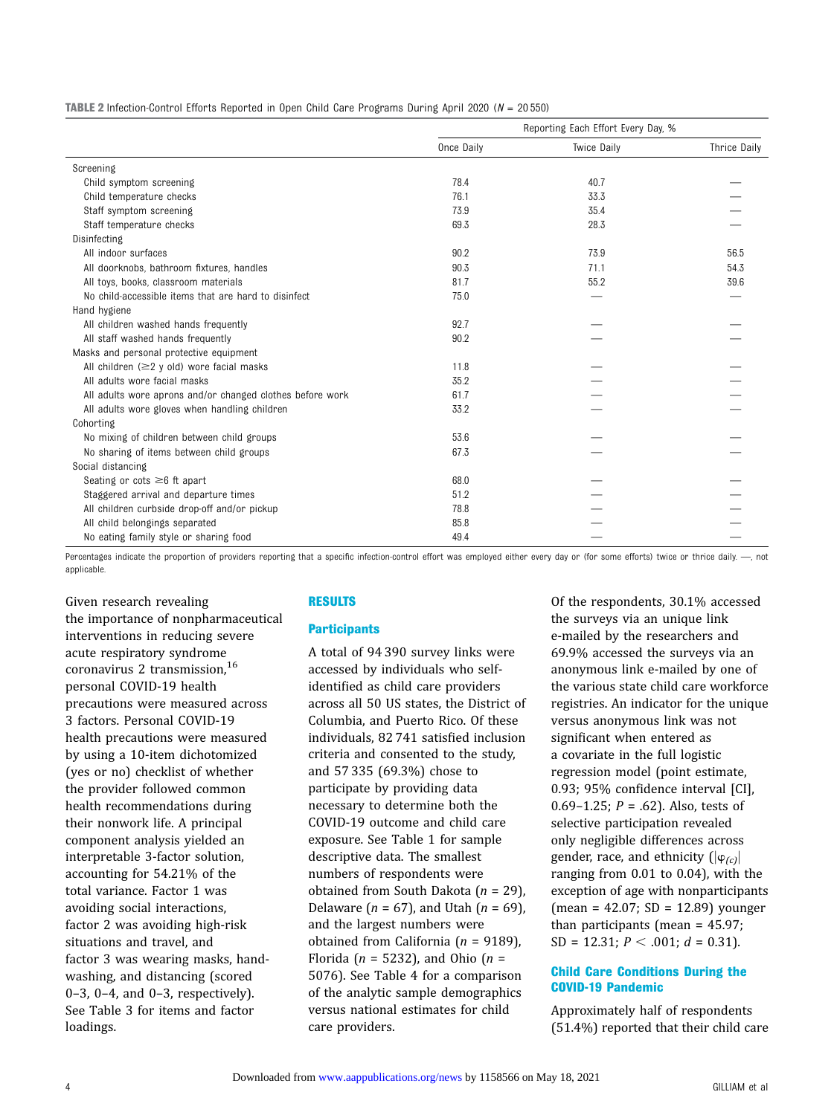| <b>TABLE 2</b> Infection-Control Efforts Reported in Open Child Care Programs During April 2020 ( $N = 20550$ ) |  |  |  |  |  |
|-----------------------------------------------------------------------------------------------------------------|--|--|--|--|--|
|-----------------------------------------------------------------------------------------------------------------|--|--|--|--|--|

|                                                           | Reporting Each Effort Every Day, % |                    |              |
|-----------------------------------------------------------|------------------------------------|--------------------|--------------|
|                                                           | Once Daily                         | <b>Twice Daily</b> | Thrice Daily |
| Screening                                                 |                                    |                    |              |
| Child symptom screening                                   | 78.4                               | 40.7               |              |
| Child temperature checks                                  | 76.1                               | 33.3               |              |
| Staff symptom screening                                   | 73.9                               | 35.4               |              |
| Staff temperature checks                                  | 69.3                               | 28.3               |              |
| Disinfecting                                              |                                    |                    |              |
| All indoor surfaces                                       | 90.2                               | 73.9               | 56.5         |
| All doorknobs, bathroom fixtures, handles                 | 90.3                               | 71.1               | 54.3         |
| All toys, books, classroom materials                      | 81.7                               | 55.2               | 39.6         |
| No child-accessible items that are hard to disinfect      | 75.0                               |                    |              |
| Hand hygiene                                              |                                    |                    |              |
| All children washed hands frequently                      | 92.7                               |                    |              |
| All staff washed hands frequently                         | 90.2                               |                    |              |
| Masks and personal protective equipment                   |                                    |                    |              |
| All children $(\geq 2$ y old) wore facial masks           | 11.8                               |                    |              |
| All adults wore facial masks                              | 35.2                               |                    |              |
| All adults wore aprons and/or changed clothes before work | 61.7                               |                    |              |
| All adults wore gloves when handling children             | 33.2                               |                    |              |
| Cohorting                                                 |                                    |                    |              |
| No mixing of children between child groups                | 53.6                               |                    |              |
| No sharing of items between child groups                  | 67.3                               |                    |              |
| Social distancing                                         |                                    |                    |              |
| Seating or cots $\geq 6$ ft apart                         | 68.0                               |                    |              |
| Staggered arrival and departure times                     | 51.2                               |                    |              |
| All children curbside drop-off and/or pickup              | 78.8                               |                    |              |
| All child belongings separated                            | 85.8                               |                    |              |
| No eating family style or sharing food                    | 49.4                               |                    |              |

Percentages indicate the proportion of providers reporting that a specific infection-control effort was employed either every day or (for some efforts) twice or thrice daily. --, not applicable.

Given research revealing the importance of nonpharmaceutical interventions in reducing severe acute respiratory syndrome coronavirus 2 transmission.<sup>[16](#page-8-0)</sup> personal COVID-19 health precautions were measured across 3 factors. Personal COVID-19 health precautions were measured by using a 10-item dichotomized (yes or no) checklist of whether the provider followed common health recommendations during their nonwork life. A principal component analysis yielded an interpretable 3-factor solution, accounting for 54.21% of the total variance. Factor 1 was avoiding social interactions, factor 2 was avoiding high-risk situations and travel, and factor 3 was wearing masks, handwashing, and distancing (scored 0–3, 0–4, and 0–3, respectively). See Table 3 for items and factor loadings.

#### RESULTS

## **Participants**

A total of 94 390 survey links were accessed by individuals who selfidentified as child care providers across all 50 US states, the District of Columbia, and Puerto Rico. Of these individuals, 82 741 satisfied inclusion criteria and consented to the study, and 57 335 (69.3%) chose to participate by providing data necessary to determine both the COVID-19 outcome and child care exposure. See Table 1 for sample descriptive data. The smallest numbers of respondents were obtained from South Dakota  $(n = 29)$ , Delaware ( $n = 67$ ), and Utah ( $n = 69$ ), and the largest numbers were obtained from California ( $n = 9189$ ), Florida ( $n = 5232$ ), and Ohio ( $n =$ 5076). See Table 4 for a comparison of the analytic sample demographics versus national estimates for child care providers.

Of the respondents, 30.1% accessed the surveys via an unique link e-mailed by the researchers and 69.9% accessed the surveys via an anonymous link e-mailed by one of the various state child care workforce registries. An indicator for the unique versus anonymous link was not significant when entered as a covariate in the full logistic regression model (point estimate, 0.93; 95% confidence interval [CI], 0.69–1.25;  $P = .62$ ). Also, tests of selective participation revealed only negligible differences across gender, race, and ethnicity  $(|\varphi_{(c)}|)$ ranging from 0.01 to 0.04), with the exception of age with nonparticipants (mean = 42.07; SD = 12.89) younger than participants (mean = 45.97; SD = 12.31;  $P < .001$ ;  $d = 0.31$ ).

# Child Care Conditions During the COVID-19 Pandemic

Approximately half of respondents (51.4%) reported that their child care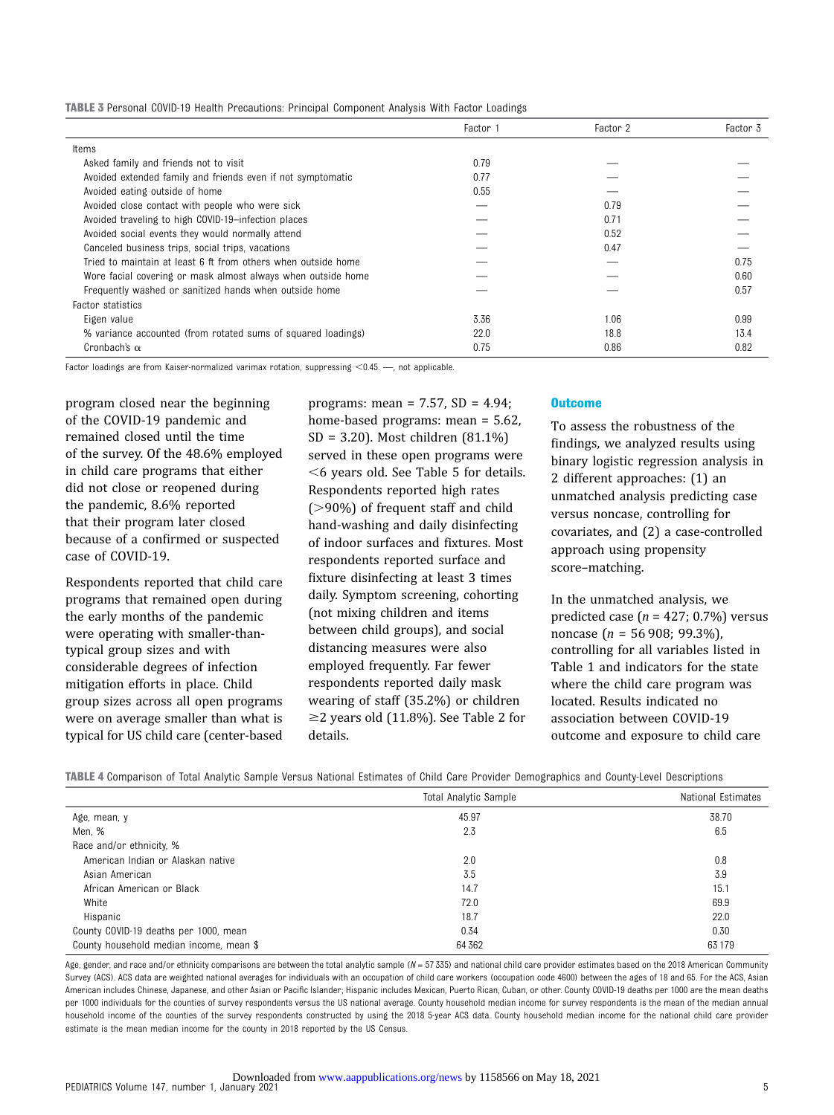| TABLE 3 Personal COVID-19 Health Precautions: Principal Component Analysis With Factor Loadings |  |  |  |  |  |  |  |
|-------------------------------------------------------------------------------------------------|--|--|--|--|--|--|--|
|-------------------------------------------------------------------------------------------------|--|--|--|--|--|--|--|

|                                                               | Factor 1 | Factor 2 | Factor 3 |
|---------------------------------------------------------------|----------|----------|----------|
| Items                                                         |          |          |          |
| Asked family and friends not to visit                         | 0.79     |          |          |
| Avoided extended family and friends even if not symptomatic   | 0.77     |          |          |
| Avoided eating outside of home                                | 0.55     |          |          |
| Avoided close contact with people who were sick               |          | 0.79     |          |
| Avoided traveling to high COVID-19-infection places           |          | 0.71     |          |
| Avoided social events they would normally attend              |          | 0.52     |          |
| Canceled business trips, social trips, vacations              |          | 0.47     |          |
| Tried to maintain at least 6 ft from others when outside home |          |          | 0.75     |
| Wore facial covering or mask almost always when outside home  |          |          | 0.60     |
| Frequently washed or sanitized hands when outside home        |          |          | 0.57     |
| Factor statistics                                             |          |          |          |
| Eigen value                                                   | 3.36     | 1.06     | 0.99     |
| % variance accounted (from rotated sums of squared loadings)  | 22.0     | 18.8     | 13.4     |
| Cronbach's $\alpha$                                           | 0.75     | 0.86     | 0.82     |

Factor loadings are from Kaiser-normalized varimax rotation, suppressing  $<$  0.45.  $-$ , not applicable.

program closed near the beginning of the COVID-19 pandemic and remained closed until the time of the survey. Of the 48.6% employed in child care programs that either did not close or reopened during the pandemic, 8.6% reported that their program later closed because of a confirmed or suspected case of COVID-19.

Respondents reported that child care programs that remained open during the early months of the pandemic were operating with smaller-thantypical group sizes and with considerable degrees of infection mitigation efforts in place. Child group sizes across all open programs were on average smaller than what is typical for US child care (center-based

programs: mean = 7.57, SD = 4.94; home-based programs: mean = 5.62, SD = 3.20). Most children (81.1%) served in these open programs were  $<$  6 years old. See Table 5 for details. Respondents reported high rates  $(>90\%)$  of frequent staff and child hand-washing and daily disinfecting of indoor surfaces and fixtures. Most respondents reported surface and fixture disinfecting at least 3 times daily. Symptom screening, cohorting (not mixing children and items between child groups), and social distancing measures were also employed frequently. Far fewer respondents reported daily mask wearing of staff (35.2%) or children  $\geq$  2 years old (11.8%). See Table 2 for details.

#### **Outcome**

To assess the robustness of the findings, we analyzed results using binary logistic regression analysis in 2 different approaches: (1) an unmatched analysis predicting case versus noncase, controlling for covariates, and (2) a case-controlled approach using propensity score–matching.

In the unmatched analysis, we predicted case ( $n = 427$ ; 0.7%) versus noncase (n = 56 908; 99.3%), controlling for all variables listed in Table 1 and indicators for the state where the child care program was located. Results indicated no association between COVID-19 outcome and exposure to child care

TABLE 4 Comparison of Total Analytic Sample Versus National Estimates of Child Care Provider Demographics and County-Level Descriptions

|                                         | <b>Total Analytic Sample</b> | National Estimates |
|-----------------------------------------|------------------------------|--------------------|
| Age, mean, y                            | 45.97                        | 38.70              |
| Men, %                                  | 2.3                          | 6.5                |
| Race and/or ethnicity, %                |                              |                    |
| American Indian or Alaskan native       | 2.0                          | 0.8                |
| Asian American                          | 3.5                          | 3.9                |
| African American or Black               | 14.7                         | 15.1               |
| White                                   | 72.0                         | 69.9               |
| Hispanic                                | 18.7                         | 22.0               |
| County COVID-19 deaths per 1000, mean   | 0.34                         | 0.30               |
| County household median income, mean \$ | 64 3 62                      | 63 179             |

Age, gender, and race and/or ethnicity comparisons are between the total analytic sample  $(N = 57335)$  and national child care provider estimates based on the 2018 American Community Survey (ACS). ACS data are weighted national averages for individuals with an occupation of child care workers (occupation code 4600) between the ages of 18 and 65. For the ACS, Asian American includes Chinese, Japanese, and other Asian or Pacific Islander; Hispanic includes Mexican, Puerto Rican, Cuban, or other. County COVID-19 deaths per 1000 are the mean deaths per 1000 individuals for the counties of survey respondents versus the US national average. County household median income for survey respondents is the mean of the median annual household income of the counties of the survey respondents constructed by using the 2018 5-year ACS data. County household median income for the national child care provider estimate is the mean median income for the county in 2018 reported by the US Census.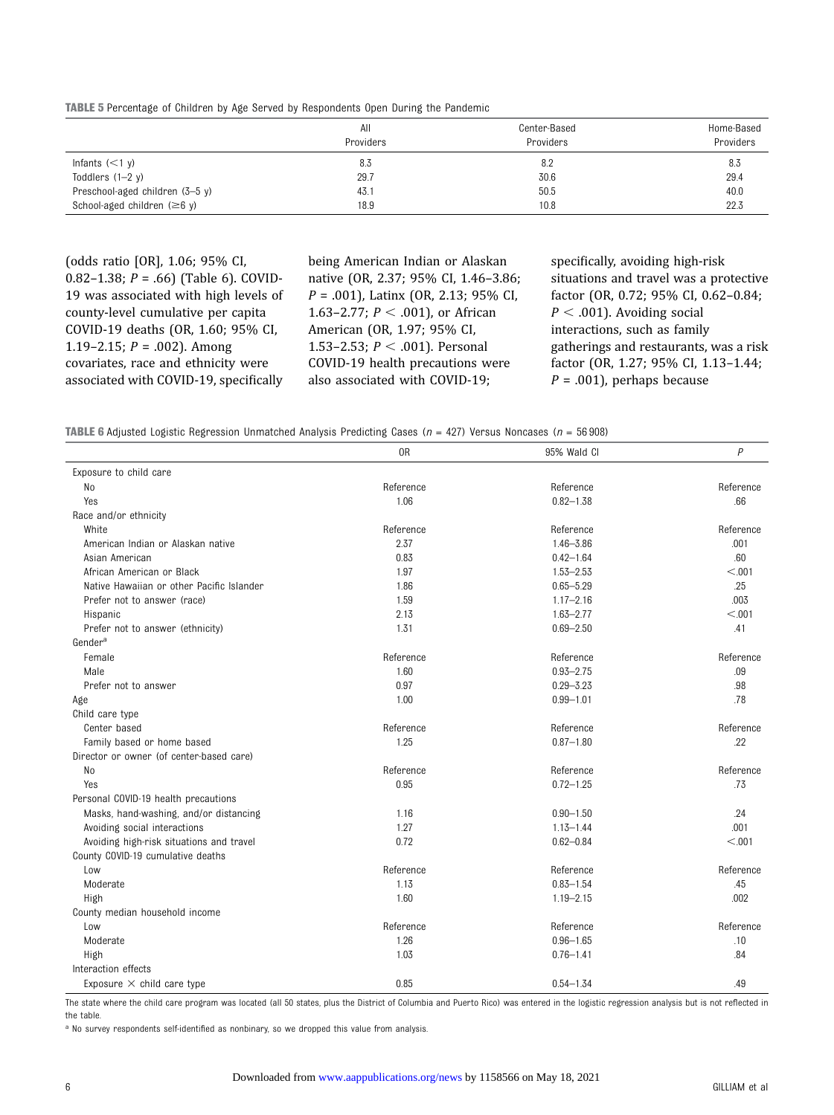TABLE 5 Percentage of Children by Age Served by Respondents Open During the Pandemic

|                                           | All<br>Providers | Center-Based<br>Providers | Home-Based<br>Providers |
|-------------------------------------------|------------------|---------------------------|-------------------------|
| Infants $(<1 y)$                          | 8.3              | 8.2                       | 8.3                     |
| Toddlers $(1-2 y)$                        | 29.7             | 30.6                      | 29.4                    |
| Preschool-aged children (3-5 y)           | 43.1             | 50.5                      | 40.0                    |
| School-aged children $(\geq 6 \text{ y})$ | 18.9             | 10.8                      | 22.3                    |

(odds ratio [OR], 1.06; 95% CI, 0.82-1.38;  $P = .66$ ) (Table 6). COVID-19 was associated with high levels of county-level cumulative per capita COVID-19 deaths (OR, 1.60; 95% CI, 1.19–2.15;  $P = .002$ ). Among covariates, race and ethnicity were associated with COVID-19, specifically

being American Indian or Alaskan native (OR, 2.37; 95% CI, 1.46–3.86;  $P = .001$ ), Latinx (OR, 2.13; 95% CI, 1.63–2.77;  $P < .001$ ), or African American (OR, 1.97; 95% CI, 1.53-2.53;  $P < .001$ ). Personal COVID-19 health precautions were also associated with COVID-19;

specifically, avoiding high-risk situations and travel was a protective factor (OR, 0.72; 95% CI, 0.62–0.84;  $P < .001$ ). Avoiding social interactions, such as family gatherings and restaurants, was a risk factor (OR, 1.27; 95% CI, 1.13–1.44;  $P = .001$ , perhaps because

**TABLE 6** Adjusted Logistic Regression Unmatched Analysis Predicting Cases ( $n = 427$ ) Versus Noncases ( $n = 56908$ )

|                                           | 0 <sub>R</sub> | 95% Wald Cl   | $\overline{P}$ |
|-------------------------------------------|----------------|---------------|----------------|
| Exposure to child care                    |                |               |                |
| No                                        | Reference      | Reference     | Reference      |
| Yes                                       | 1.06           | $0.82 - 1.38$ | .66            |
| Race and/or ethnicity                     |                |               |                |
| White                                     | Reference      | Reference     | Reference      |
| American Indian or Alaskan native         | 2.37           | $1.46 - 3.86$ | .001           |
| Asian American                            | 0.83           | $0.42 - 1.64$ | .60            |
| African American or Black                 | 1.97           | $1.53 - 2.53$ | < 0.01         |
| Native Hawaiian or other Pacific Islander | 1.86           | $0.65 - 5.29$ | .25            |
| Prefer not to answer (race)               | 1.59           | $1.17 - 2.16$ | .003           |
| Hispanic                                  | 2.13           | $1.63 - 2.77$ | < 0.001        |
| Prefer not to answer (ethnicity)          | 1.31           | $0.69 - 2.50$ | .41            |
| Gender <sup>a</sup>                       |                |               |                |
| Female                                    | Reference      | Reference     | Reference      |
| Male                                      | 1.60           | $0.93 - 2.75$ | .09            |
| Prefer not to answer                      | 0.97           | $0.29 - 3.23$ | .98            |
| Age                                       | 1.00           | $0.99 - 1.01$ | .78            |
| Child care type                           |                |               |                |
| Center based                              | Reference      | Reference     | Reference      |
| Family based or home based                | 1.25           | $0.87 - 1.80$ | .22            |
| Director or owner (of center-based care)  |                |               |                |
| N <sub>o</sub>                            | Reference      | Reference     | Reference      |
| Yes                                       | 0.95           | $0.72 - 1.25$ | .73            |
| Personal COVID-19 health precautions      |                |               |                |
| Masks, hand-washing, and/or distancing    | 1.16           | $0.90 - 1.50$ | .24            |
| Avoiding social interactions              | 1.27           | $1.13 - 1.44$ | .001           |
| Avoiding high-risk situations and travel  | 0.72           | $0.62 - 0.84$ | < 0.001        |
| County COVID-19 cumulative deaths         |                |               |                |
| Low                                       | Reference      | Reference     | Reference      |
| Moderate                                  | 1.13           | $0.83 - 1.54$ | .45            |
| High                                      | 1.60           | $1.19 - 2.15$ | .002           |
| County median household income            |                |               |                |
| Low                                       | Reference      | Reference     | Reference      |
| Moderate                                  | 1.26           | $0.96 - 1.65$ | .10            |
| High                                      | 1.03           | $0.76 - 1.41$ | .84            |
| Interaction effects                       |                |               |                |
| Exposure $\times$ child care type         | 0.85           | $0.54 - 1.34$ | .49            |

The state where the child care program was located (all 50 states, plus the District of Columbia and Puerto Rico) was entered in the logistic regression analysis but is not reflected in the table.

a No survey respondents self-identified as nonbinary, so we dropped this value from analysis.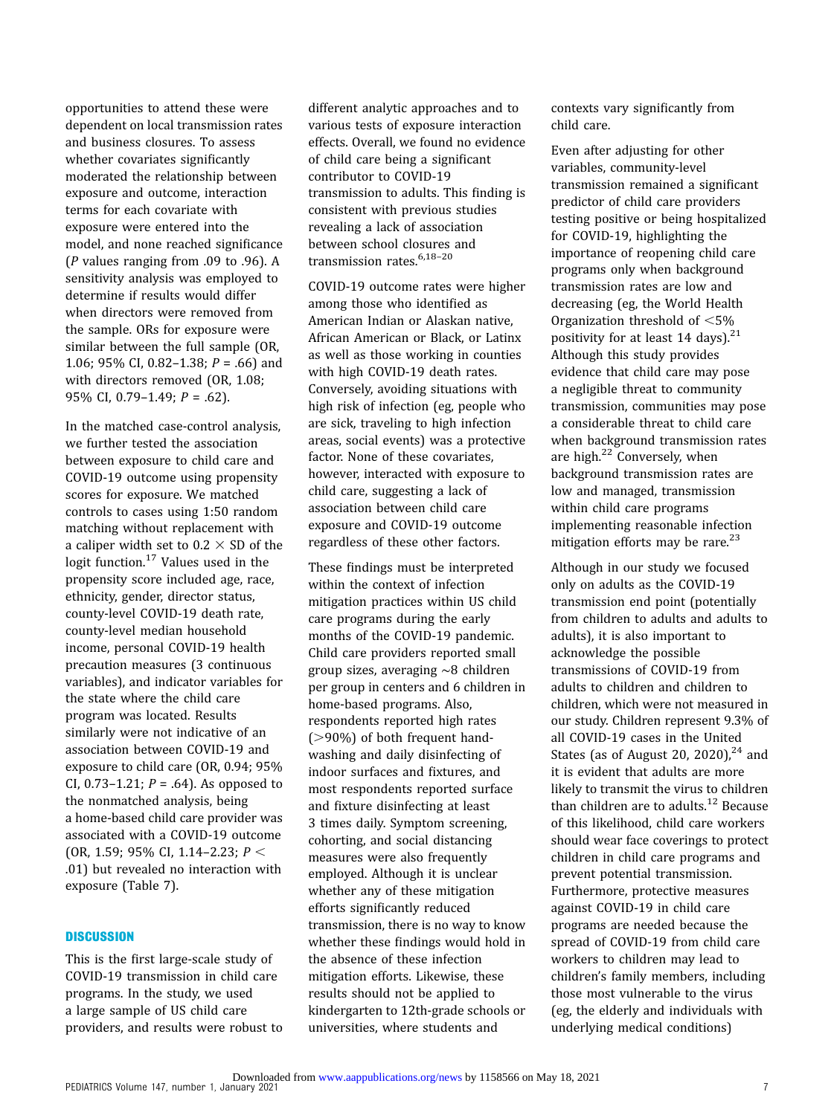opportunities to attend these were dependent on local transmission rates and business closures. To assess whether covariates significantly moderated the relationship between exposure and outcome, interaction terms for each covariate with exposure were entered into the model, and none reached significance ( $P$  values ranging from .09 to .96). A sensitivity analysis was employed to determine if results would differ when directors were removed from the sample. ORs for exposure were similar between the full sample (OR, 1.06; 95% CI, 0.82-1.38;  $P = .66$ ) and with directors removed (OR, 1.08; 95% CI, 0.79–1.49; P = .62).

In the matched case-control analysis, we further tested the association between exposure to child care and COVID-19 outcome using propensity scores for exposure. We matched controls to cases using 1:50 random matching without replacement with a caliper width set to  $0.2 \times SD$  of the logit function.<sup>[17](#page-8-0)</sup> Values used in the propensity score included age, race, ethnicity, gender, director status, county-level COVID-19 death rate, county-level median household income, personal COVID-19 health precaution measures (3 continuous variables), and indicator variables for the state where the child care program was located. Results similarly were not indicative of an association between COVID-19 and exposure to child care (OR, 0.94; 95% CI, 0.73–1.21;  $P = .64$ ). As opposed to the nonmatched analysis, being a home-based child care provider was associated with a COVID-19 outcome (OR, 1.59; 95% CI, 1.14-2.23;  $P <$ .01) but revealed no interaction with exposure (Table 7).

# **DISCUSSION**

This is the first large-scale study of COVID-19 transmission in child care programs. In the study, we used a large sample of US child care providers, and results were robust to different analytic approaches and to various tests of exposure interaction effects. Overall, we found no evidence of child care being a significant contributor to COVID-19 transmission to adults. This finding is consistent with previous studies revealing a lack of association between school closures and transmission rates.<sup>[6,18](#page-8-0)-[20](#page-8-0)</sup>

COVID-19 outcome rates were higher among those who identified as American Indian or Alaskan native, African American or Black, or Latinx as well as those working in counties with high COVID-19 death rates. Conversely, avoiding situations with high risk of infection (eg, people who are sick, traveling to high infection areas, social events) was a protective factor. None of these covariates, however, interacted with exposure to child care, suggesting a lack of association between child care exposure and COVID-19 outcome regardless of these other factors.

These findings must be interpreted within the context of infection mitigation practices within US child care programs during the early months of the COVID-19 pandemic. Child care providers reported small group sizes, averaging ∼8 children per group in centers and 6 children in home-based programs. Also, respondents reported high rates  $(>90\%)$  of both frequent handwashing and daily disinfecting of indoor surfaces and fixtures, and most respondents reported surface and fixture disinfecting at least 3 times daily. Symptom screening, cohorting, and social distancing measures were also frequently employed. Although it is unclear whether any of these mitigation efforts significantly reduced transmission, there is no way to know whether these findings would hold in the absence of these infection mitigation efforts. Likewise, these results should not be applied to kindergarten to 12th-grade schools or universities, where students and

contexts vary significantly from child care.

Even after adjusting for other variables, community-level transmission remained a significant predictor of child care providers testing positive or being hospitalized for COVID-19, highlighting the importance of reopening child care programs only when background transmission rates are low and decreasing (eg, the World Health Organization threshold of  $<$ 5% positivity for at least 14 days).<sup>[21](#page-8-0)</sup> Although this study provides evidence that child care may pose a negligible threat to community transmission, communities may pose a considerable threat to child care when background transmission rates are high.<sup>[22](#page-8-0)</sup> Conversely, when background transmission rates are low and managed, transmission within child care programs implementing reasonable infection mitigation efforts may be rare. $^{23}$  $^{23}$  $^{23}$ 

Although in our study we focused only on adults as the COVID-19 transmission end point (potentially from children to adults and adults to adults), it is also important to acknowledge the possible transmissions of COVID-19 from adults to children and children to children, which were not measured in our study. Children represent 9.3% of all COVID-19 cases in the United States (as of August 20, 2020), $^{24}$  and it is evident that adults are more likely to transmit the virus to children than children are to adults. $12$  Because of this likelihood, child care workers should wear face coverings to protect children in child care programs and prevent potential transmission. Furthermore, protective measures against COVID-19 in child care programs are needed because the spread of COVID-19 from child care workers to children may lead to children's family members, including those most vulnerable to the virus (eg, the elderly and individuals with underlying medical conditions)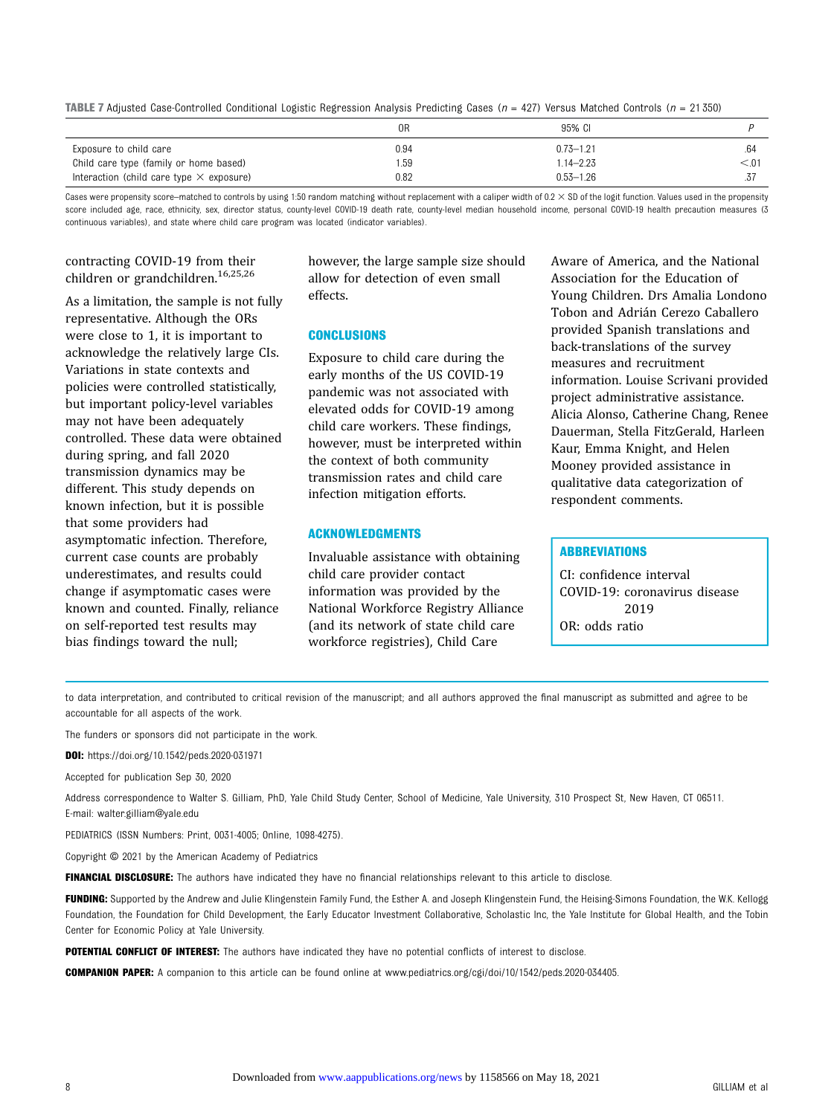**TABLE 7** Adjusted Case-Controlled Conditional Logistic Regression Analysis Predicting Cases ( $n = 427$ ) Versus Matched Controls ( $n = 21350$ )

|                                                 | 0R   | 95% CI        |        |
|-------------------------------------------------|------|---------------|--------|
| Exposure to child care                          | 0.94 | $0.73 - 1.21$ | .64    |
| Child care type (family or home based)          | '.59 | $14 - 2.23$   | < 0.01 |
| Interaction (child care type $\times$ exposure) | 0.82 | $0.53 - 1.26$ |        |

Cases were propensity score–matched to controls by using 1:50 random matching without replacement with a caliper width of  $0.2 \times SD$  of the logit function. Values used in the propensity score included age, race, ethnicity, sex, director status, county-level COVID-19 death rate, county-level median household income, personal COVID-19 health precaution measures (3 continuous variables), and state where child care program was located (indicator variables).

# contracting COVID-19 from their children or grandchildren[.16](#page-8-0),[25,26](#page-8-0)

As a limitation, the sample is not fully representative. Although the ORs were close to 1, it is important to acknowledge the relatively large CIs. Variations in state contexts and policies were controlled statistically, but important policy-level variables may not have been adequately controlled. These data were obtained during spring, and fall 2020 transmission dynamics may be different. This study depends on known infection, but it is possible that some providers had asymptomatic infection. Therefore, current case counts are probably underestimates, and results could change if asymptomatic cases were known and counted. Finally, reliance on self-reported test results may bias findings toward the null;

however, the large sample size should allow for detection of even small effects.

## **CONCLUSIONS**

Exposure to child care during the early months of the US COVID-19 pandemic was not associated with elevated odds for COVID-19 among child care workers. These findings, however, must be interpreted within the context of both community transmission rates and child care infection mitigation efforts.

## ACKNOWLEDGMENTS

Invaluable assistance with obtaining child care provider contact information was provided by the National Workforce Registry Alliance (and its network of state child care workforce registries), Child Care

Aware of America, and the National Association for the Education of Young Children. Drs Amalia Londono Tobon and Adrián Cerezo Caballero provided Spanish translations and back-translations of the survey measures and recruitment information. Louise Scrivani provided project administrative assistance. Alicia Alonso, Catherine Chang, Renee Dauerman, Stella FitzGerald, Harleen Kaur, Emma Knight, and Helen Mooney provided assistance in qualitative data categorization of respondent comments.

# **ABBREVIATIONS**

CI: confidence interval COVID-19: coronavirus disease 2019 OR: odds ratio

to data interpretation, and contributed to critical revision of the manuscript; and all authors approved the final manuscript as submitted and agree to be accountable for all aspects of the work.

The funders or sponsors did not participate in the work.

DOI: <https://doi.org/10.1542/peds.2020-031971>

Accepted for publication Sep 30, 2020

Address correspondence to Walter S. Gilliam, PhD, Yale Child Study Center, School of Medicine, Yale University, 310 Prospect St, New Haven, CT 06511. E-mail: [walter.gilliam@yale.edu](mailto:walter.gilliam@yale.edu)

PEDIATRICS (ISSN Numbers: Print, 0031-4005; Online, 1098-4275).

Copyright © 2021 by the American Academy of Pediatrics

FINANCIAL DISCLOSURE: The authors have indicated they have no financial relationships relevant to this article to disclose.

FUNDING: Supported by the Andrew and Julie Klingenstein Family Fund, the Esther A. and Joseph Klingenstein Fund, the Heising-Simons Foundation, the W.K. Kellogg Foundation, the Foundation for Child Development, the Early Educator Investment Collaborative, Scholastic Inc, the Yale Institute for Global Health, and the Tobin Center for Economic Policy at Yale University.

POTENTIAL CONFLICT OF INTEREST: The authors have indicated they have no potential conflicts of interest to disclose.

COMPANION PAPER: A companion to this article can be found online at [www.pediatrics.org/cgi/doi/10/1542/peds.2020-034405.](http://www.pediatrics.org/cgi/doi/10/1542/peds.2020-034405)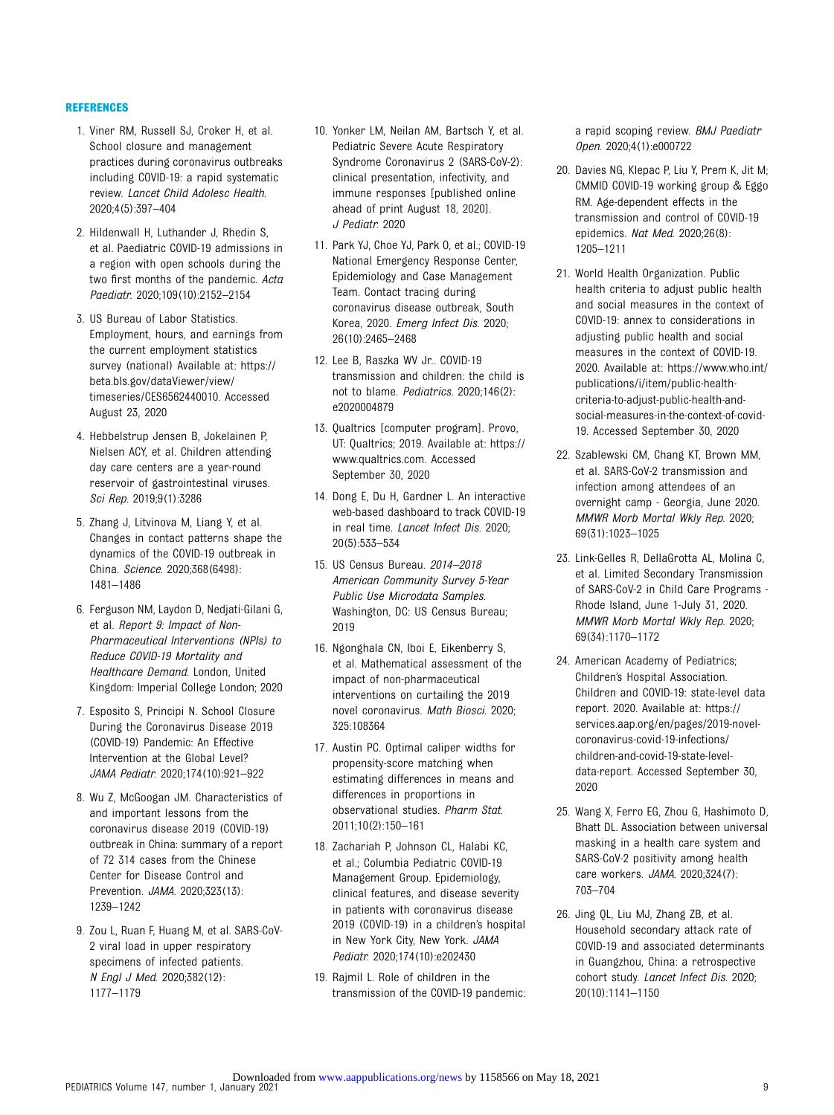## <span id="page-8-0"></span>REFERENCES

- 1. Viner RM, Russell SJ, Croker H, et al. School closure and management practices during coronavirus outbreaks including COVID-19: a rapid systematic review. Lancet Child Adolesc Health. 2020;4(5):397–404
- 2. Hildenwall H, Luthander J, Rhedin S, et al. Paediatric COVID-19 admissions in a region with open schools during the two first months of the pandemic. Acta Paediatr. 2020;109(10):2152–2154
- 3. US Bureau of Labor Statistics. Employment, hours, and earnings from the current employment statistics survey (national) Available at: [https://](https://beta.bls.gov/dataViewer/view/timeseries/CES6562440010) [beta.bls.gov/dataViewer/view/](https://beta.bls.gov/dataViewer/view/timeseries/CES6562440010) [timeseries/CES6562440010](https://beta.bls.gov/dataViewer/view/timeseries/CES6562440010). Accessed August 23, 2020
- 4. Hebbelstrup Jensen B, Jokelainen P, Nielsen ACY, et al. Children attending day care centers are a year-round reservoir of gastrointestinal viruses. Sci Rep. 2019;9(1):3286
- 5. Zhang J, Litvinova M, Liang Y, et al. Changes in contact patterns shape the dynamics of the COVID-19 outbreak in China. Science. 2020;368(6498): 1481–1486
- 6. Ferguson NM, Laydon D, Nedjati-Gilani G, et al. Report 9: Impact of Non-Pharmaceutical Interventions (NPIs) to Reduce COVID-19 Mortality and Healthcare Demand. London, United Kingdom: Imperial College London; 2020
- 7. Esposito S, Principi N. School Closure During the Coronavirus Disease 2019 (COVID-19) Pandemic: An Effective Intervention at the Global Level? JAMA Pediatr. 2020;174(10):921–922
- 8. Wu Z, McGoogan JM. Characteristics of and important lessons from the coronavirus disease 2019 (COVID-19) outbreak in China: summary of a report of 72 314 cases from the Chinese Center for Disease Control and Prevention. JAMA. 2020;323(13): 1239–1242
- 9. Zou L, Ruan F, Huang M, et al. SARS-CoV-2 viral load in upper respiratory specimens of infected patients. N Engl J Med. 2020;382(12): 1177–1179
- 10. Yonker LM, Neilan AM, Bartsch Y, et al. Pediatric Severe Acute Respiratory Syndrome Coronavirus 2 (SARS-CoV-2): clinical presentation, infectivity, and immune responses [published online ahead of print August 18, 2020]. J Pediatr. 2020
- 11. Park YJ, Choe YJ, Park O, et al.; COVID-19 National Emergency Response Center, Epidemiology and Case Management Team. Contact tracing during coronavirus disease outbreak, South Korea, 2020. Emerg Infect Dis. 2020; 26(10):2465–2468
- 12. Lee B, Raszka WV Jr.. COVID-19 transmission and children: the child is not to blame. Pediatrics. 2020;146(2): e2020004879
- 13. Qualtrics [computer program]. Provo, UT: Qualtrics; 2019. Available at: [https://](https://www.qualtrics.com) [www.qualtrics.com.](https://www.qualtrics.com) Accessed September 30, 2020
- 14. Dong E, Du H, Gardner L. An interactive web-based dashboard to track COVID-19 in real time. Lancet Infect Dis. 2020; 20(5):533–534
- 15. US Census Bureau. 2014–2018 American Community Survey 5-Year Public Use Microdata Samples. Washington, DC: US Census Bureau; 2019
- 16. Ngonghala CN, Iboi E, Eikenberry S, et al. Mathematical assessment of the impact of non-pharmaceutical interventions on curtailing the 2019 novel coronavirus. Math Biosci. 2020; 325:108364
- 17. Austin PC. Optimal caliper widths for propensity-score matching when estimating differences in means and differences in proportions in observational studies. Pharm Stat. 2011;10(2):150–161
- 18. Zachariah P, Johnson CL, Halabi KC, et al.; Columbia Pediatric COVID-19 Management Group. Epidemiology, clinical features, and disease severity in patients with coronavirus disease 2019 (COVID-19) in a children's hospital in New York City, New York. JAMA Pediatr. 2020;174(10):e202430
- 19. Rajmil L. Role of children in the transmission of the COVID-19 pandemic:

a rapid scoping review. BMJ Paediatr Open. 2020;4(1):e000722

- 20. Davies NG, Klepac P, Liu Y, Prem K, Jit M; CMMID COVID-19 working group & Eggo RM. Age-dependent effects in the transmission and control of COVID-19 epidemics. Nat Med. 2020;26(8): 1205–1211
- 21. World Health Organization. Public health criteria to adjust public health and social measures in the context of COVID-19: annex to considerations in adjusting public health and social measures in the context of COVID-19. 2020. Available at: [https://www.who.int/](https://www.who.int/publications/i/item/public-health-criteria-to-adjust-public-health-and-social-measures-in-the-context-of-covid-19) [publications/i/item/public-health](https://www.who.int/publications/i/item/public-health-criteria-to-adjust-public-health-and-social-measures-in-the-context-of-covid-19)[criteria-to-adjust-public-health-and](https://www.who.int/publications/i/item/public-health-criteria-to-adjust-public-health-and-social-measures-in-the-context-of-covid-19)[social-measures-in-the-context-of-covid-](https://www.who.int/publications/i/item/public-health-criteria-to-adjust-public-health-and-social-measures-in-the-context-of-covid-19)[19](https://www.who.int/publications/i/item/public-health-criteria-to-adjust-public-health-and-social-measures-in-the-context-of-covid-19). Accessed September 30, 2020
- 22. Szablewski CM, Chang KT, Brown MM, et al. SARS-CoV-2 transmission and infection among attendees of an overnight camp - Georgia, June 2020. MMWR Morb Mortal Wkly Rep. 2020; 69(31):1023–1025
- 23. Link-Gelles R, DellaGrotta AL, Molina C, et al. Limited Secondary Transmission of SARS-CoV-2 in Child Care Programs - Rhode Island, June 1-July 31, 2020. MMWR Morb Mortal Wkly Rep. 2020; 69(34):1170–1172
- 24. American Academy of Pediatrics; Children's Hospital Association. Children and COVID-19: state-level data report. 2020. Available at: [https://](https://services.aap.org/en/pages/2019-novel-coronavirus-covid-19-infections/children-and-covid-19-state-level-data-report) [services.aap.org/en/pages/2019-novel](https://services.aap.org/en/pages/2019-novel-coronavirus-covid-19-infections/children-and-covid-19-state-level-data-report)[coronavirus-covid-19-infections/](https://services.aap.org/en/pages/2019-novel-coronavirus-covid-19-infections/children-and-covid-19-state-level-data-report) [children-and-covid-19-state-level](https://services.aap.org/en/pages/2019-novel-coronavirus-covid-19-infections/children-and-covid-19-state-level-data-report)[data-report.](https://services.aap.org/en/pages/2019-novel-coronavirus-covid-19-infections/children-and-covid-19-state-level-data-report) Accessed September 30, 2020
- 25. Wang X, Ferro EG, Zhou G, Hashimoto D, Bhatt DL. Association between universal masking in a health care system and SARS-CoV-2 positivity among health care workers. JAMA. 2020;324(7): 703–704
- 26. Jing QL, Liu MJ, Zhang ZB, et al. Household secondary attack rate of COVID-19 and associated determinants in Guangzhou, China: a retrospective cohort study. Lancet Infect Dis. 2020; 20(10):1141–1150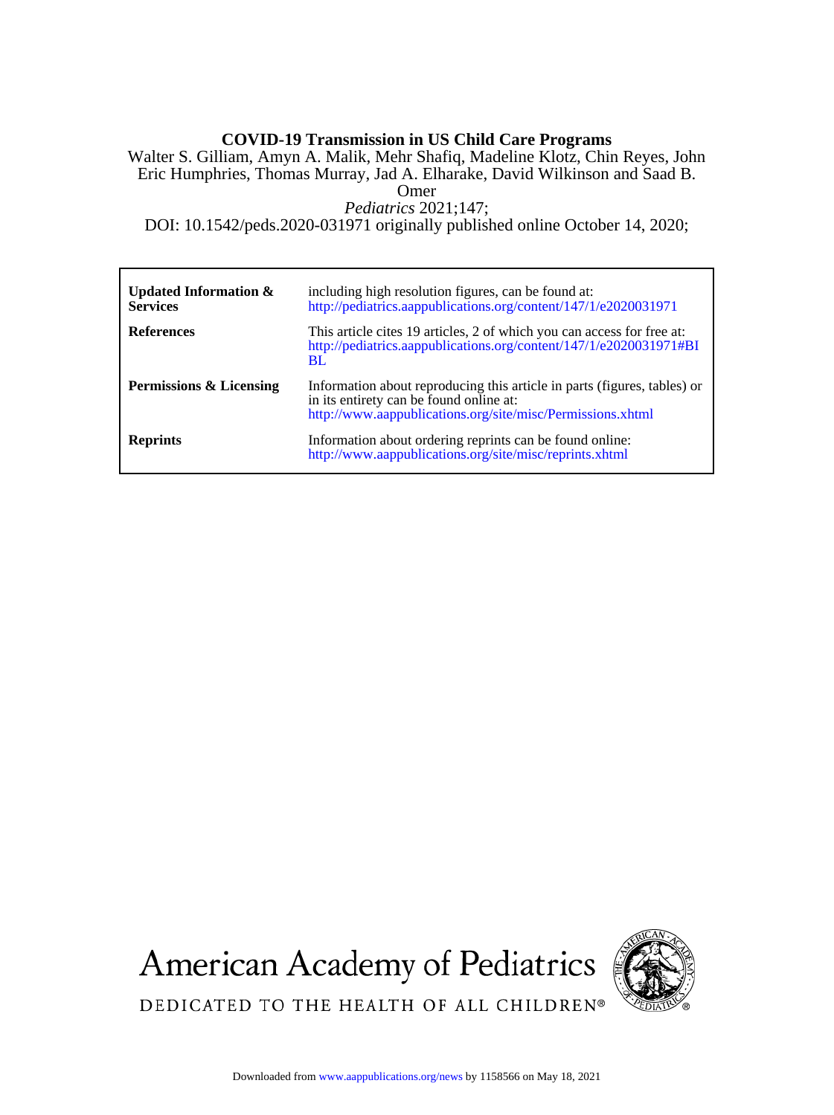# **COVID-19 Transmission in US Child Care Programs**

Omer Eric Humphries, Thomas Murray, Jad A. Elharake, David Wilkinson and Saad B. Walter S. Gilliam, Amyn A. Malik, Mehr Shafiq, Madeline Klotz, Chin Reyes, John

*Pediatrics* 2021;147;

DOI: 10.1542/peds.2020-031971 originally published online October 14, 2020;

| Updated Information $\&$<br><b>Services</b> | including high resolution figures, can be found at:<br>http://pediatrics.aappublications.org/content/147/1/e2020031971                                                            |
|---------------------------------------------|-----------------------------------------------------------------------------------------------------------------------------------------------------------------------------------|
| <b>References</b>                           | This article cites 19 articles, 2 of which you can access for free at:<br>http://pediatrics.aappublications.org/content/147/1/e2020031971#BI<br><b>BL</b>                         |
| Permissions & Licensing                     | Information about reproducing this article in parts (figures, tables) or<br>in its entirety can be found online at:<br>http://www.aappublications.org/site/misc/Permissions.xhtml |
| <b>Reprints</b>                             | Information about ordering reprints can be found online:<br>http://www.aappublications.org/site/misc/reprints.xhtml                                                               |





DEDICATED TO THE HEALTH OF ALL CHILDREN®